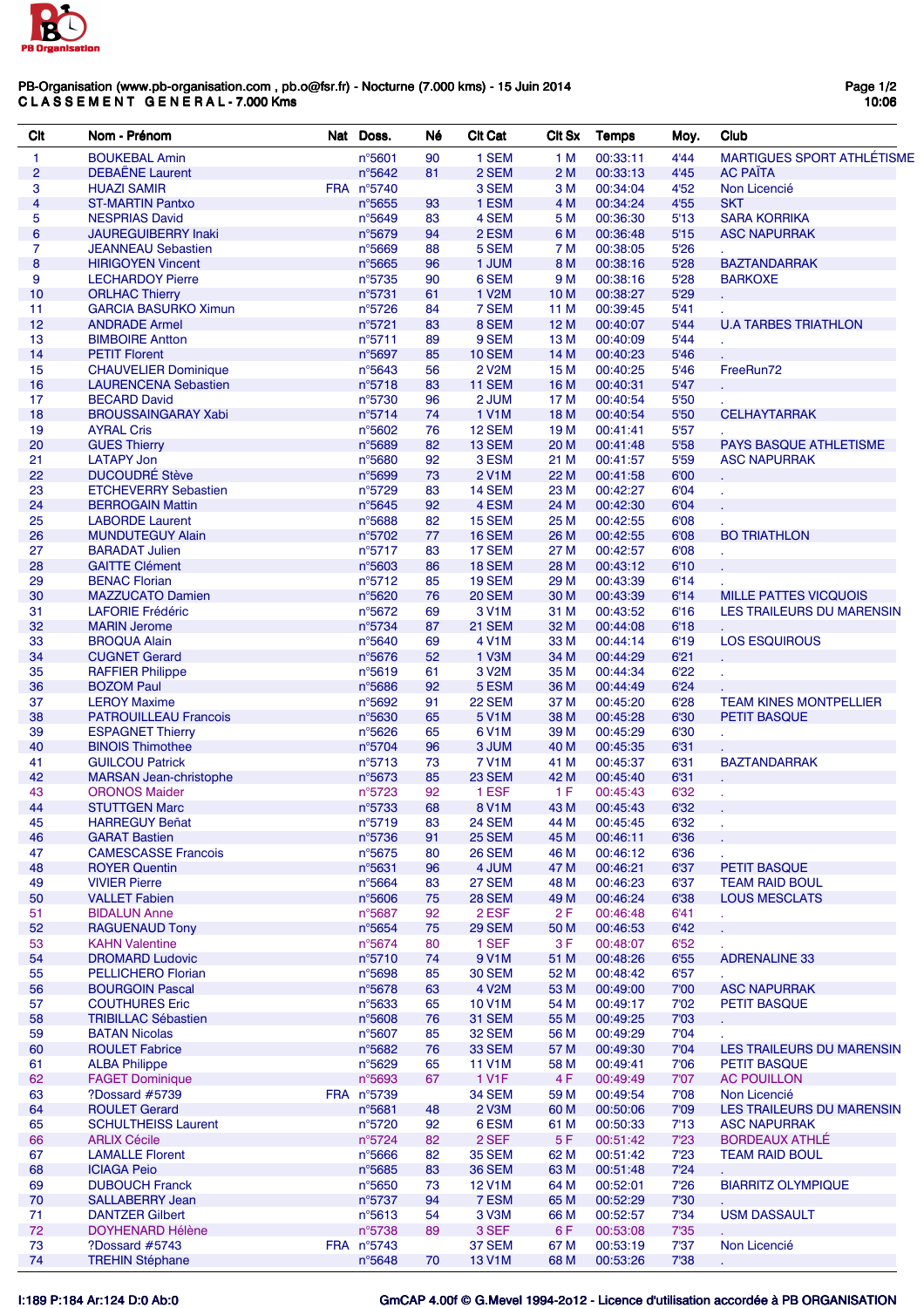

## PB-Organisation (www.pb-organisation.com , pb.o@fsr.fr) - Nocturne (7.000 kms) - 15 Juin 2014 C L A S S E M E N T G E N E R A L - 7.000 Kms

| Clt             | Nom - Prénom                                        | Nat Doss.                  | Né       | <b>Clt Cat</b>         | CIt Sx       | Temps                | Moy.         | Club                              |
|-----------------|-----------------------------------------------------|----------------------------|----------|------------------------|--------------|----------------------|--------------|-----------------------------------|
| 1               | <b>BOUKEBAL Amin</b>                                | $n^{\circ}5601$            | 90       | 1 SEM                  | 1 M          | 00:33:11             | 4'44         | <b>MARTIGUES SPORT ATHLÉTISME</b> |
| $\overline{2}$  | <b>DEBAËNE Laurent</b>                              | n°5642                     | 81       | 2 SEM                  | 2M           | 00:33:13             | 4'45         | <b>AC PAÏTA</b>                   |
| 3               | <b>HUAZI SAMIR</b>                                  | FRA n°5740                 |          | 3 SEM                  | 3 M          | 00:34:04             | 4'52         | Non Licencié                      |
| $\overline{4}$  | <b>ST-MARTIN Pantxo</b>                             | $n^{\circ}$ 5655           | 93       | 1 ESM                  | 4 M          | 00:34:24             | 4'55         | <b>SKT</b>                        |
| 5               | <b>NESPRIAS David</b>                               | n°5649                     | 83       | 4 SEM                  | 5 M          | 00:36:30             | 5'13         | <b>SARA KORRIKA</b>               |
| $6\phantom{1}6$ | <b>JAUREGUIBERRY Inaki</b>                          | n°5679                     | 94       | 2 ESM                  | 6 M          | 00:36:48             | 5'15         | <b>ASC NAPURRAK</b>               |
| $\overline{7}$  | <b>JEANNEAU Sebastien</b>                           | n°5669                     | 88       | 5 SEM                  | 7 M          | 00:38:05             | 5'26         |                                   |
| 8               | <b>HIRIGOYEN Vincent</b>                            | n°5665                     | 96       | 1 JUM                  | 8 M          | 00:38:16             | 5'28         | <b>BAZTANDARRAK</b>               |
| 9               | <b>LECHARDOY Pierre</b>                             | n°5735                     | 90       | 6 SEM                  | 9 M          | 00:38:16             | 5'28         | <b>BARKOXE</b>                    |
| 10              | <b>ORLHAC Thierry</b>                               | $n^{\circ}5731$            | 61       | 1 V <sub>2</sub> M     | 10 M         | 00:38:27             | 5'29         |                                   |
| 11              | <b>GARCIA BASURKO Ximun</b>                         | n°5726                     | 84       | 7 SEM                  | 11 M         | 00:39:45             | 5'41         |                                   |
| 12              | <b>ANDRADE Armel</b>                                | $n^{\circ}5721$            | 83       | 8 SEM                  | 12 M         | 00:40:07             | 5'44         | <b>U.A TARBES TRIATHLON</b>       |
| 13              | <b>BIMBOIRE Antton</b>                              | $n^{\circ}5711$            | 89       | 9 SEM                  | 13 M         | 00:40:09             | 5'44         |                                   |
| 14              | <b>PETIT Florent</b>                                | n°5697                     | 85       | 10 SEM                 | 14 M         | 00:40:23             | 5'46         |                                   |
| 15              | <b>CHAUVELIER Dominique</b>                         | $n^{\circ}$ 5643<br>n°5718 | 56       | <b>2 V2M</b><br>11 SEM | 15 M         | 00:40:25             | 5'46<br>5'47 | FreeRun72                         |
| 16<br>17        | <b>LAURENCENA Sebastien</b><br><b>BECARD David</b>  | n°5730                     | 83<br>96 | 2 JUM                  | 16 M<br>17 M | 00:40:31<br>00:40:54 | 5'50         |                                   |
| 18              | <b>BROUSSAINGARAY Xabi</b>                          | n°5714                     | 74       | 1 V1M                  | 18 M         | 00:40:54             | 5'50         | <b>CELHAYTARRAK</b>               |
| 19              | <b>AYRAL Cris</b>                                   | n°5602                     | 76       | 12 SEM                 | 19 M         | 00:41:41             | 5'57         |                                   |
| 20              | <b>GUES Thierry</b>                                 | n°5689                     | 82       | 13 SEM                 | 20 M         | 00:41:48             | 5'58         | PAYS BASQUE ATHLETISME            |
| 21              | <b>LATAPY Jon</b>                                   | n°5680                     | 92       | 3 ESM                  | 21 M         | 00:41:57             | 5'59         | <b>ASC NAPURRAK</b>               |
| 22              | <b>DUCOUDRÉ Stève</b>                               | n°5699                     | 73       | 2 V1M                  | 22 M         | 00:41:58             | 6'00         |                                   |
| 23              | <b>ETCHEVERRY Sebastien</b>                         | n°5729                     | 83       | 14 SEM                 | 23 M         | 00:42:27             | 6'04         |                                   |
| 24              | <b>BERROGAIN Mattin</b>                             | n°5645                     | 92       | 4 ESM                  | 24 M         | 00:42:30             | 6'04         |                                   |
| 25              | <b>LABORDE Laurent</b>                              | $n^{\circ}$ 5688           | 82       | 15 SEM                 | 25 M         | 00:42:55             | 6'08         |                                   |
| 26              | <b>MUNDUTEGUY Alain</b>                             | n°5702                     | $77\,$   | 16 SEM                 | 26 M         | 00:42:55             | 6'08         | <b>BO TRIATHLON</b>               |
| 27              | <b>BARADAT Julien</b>                               | n°5717                     | 83       | 17 SEM                 | 27 M         | 00:42:57             | 6'08         |                                   |
| 28              | <b>GAITTE Clément</b>                               | $n^{\circ}5603$            | 86       | 18 SEM                 | 28 M         | 00:43:12             | 6'10         |                                   |
| 29              | <b>BENAC Florian</b>                                | n°5712                     | 85       | 19 SEM                 | 29 M         | 00:43:39             | 6'14         |                                   |
| 30              | <b>MAZZUCATO Damien</b>                             | n°5620                     | 76       | <b>20 SEM</b>          | 30 M         | 00:43:39             | 6'14         | <b>MILLE PATTES VICQUOIS</b>      |
| 31              | <b>LAFORIE Frédéric</b>                             | n°5672                     | 69       | 3 V1M                  | 31 M         | 00:43:52             | 6'16         | LES TRAILEURS DU MARENSIN         |
| 32              | <b>MARIN Jerome</b>                                 | n°5734                     | 87       | 21 SEM                 | 32 M         | 00:44:08             | 6'18         |                                   |
| 33              | <b>BROQUA Alain</b>                                 | n°5640                     | 69       | 4 V1M                  | 33 M         | 00:44:14             | 6'19         | <b>LOS ESQUIROUS</b>              |
| 34              | <b>CUGNET Gerard</b>                                | n°5676                     | 52       | 1 V3M                  | 34 M         | 00:44:29             | 6'21         |                                   |
| 35              | <b>RAFFIER Philippe</b>                             | n°5619                     | 61       | 3 V <sub>2</sub> M     | 35 M         | 00:44:34             | 6'22         |                                   |
| 36              | <b>BOZOM Paul</b>                                   | $n^{\circ}$ 5686           | 92       | 5 ESM                  | 36 M         | 00:44:49             | 6'24         |                                   |
| 37              | <b>LEROY Maxime</b>                                 | n°5692                     | 91       | 22 SEM                 | 37 M         | 00:45:20             | 6'28         | <b>TEAM KINES MONTPELLIER</b>     |
| 38              | <b>PATROUILLEAU Francois</b>                        | n°5630                     | 65       | 5 V1M                  | 38 M         | 00:45:28             | 6'30         | <b>PETIT BASQUE</b>               |
| 39              | <b>ESPAGNET Thierry</b>                             | n°5626                     | 65       | 6 V <sub>1</sub> M     | 39 M         | 00:45:29             | 6'30         |                                   |
| 40              | <b>BINOIS Thimothee</b>                             | n°5704                     | 96       | 3 JUM                  | 40 M         | 00:45:35             | 6'31         |                                   |
| 41              | <b>GUILCOU Patrick</b>                              | $n^{\circ}5713$            | 73       | <b>7 V1M</b>           | 41 M         | 00:45:37             | 6'31         | <b>BAZTANDARRAK</b>               |
| 42              | <b>MARSAN Jean-christophe</b>                       | $n^{\circ}5673$            | 85       | <b>23 SEM</b>          | 42 M         | 00:45:40             | 6'31         |                                   |
| 43              | <b>ORONOS Maider</b>                                | n°5723                     | 92       | 1 ESF                  | 1 F          | 00:45:43             | 6'32         |                                   |
| 44              | <b>STUTTGEN Marc</b>                                | n°5733                     | 68       | 8 V1M                  | 43 M         | 00:45:43             | 6'32         |                                   |
| 45              | <b>HARREGUY Beñat</b>                               | n°5719                     | 83       | <b>24 SEM</b>          | 44 M         | 00:45:45             | 6'32         |                                   |
| 46              | <b>GARAT Bastien</b>                                | $n^{\circ}5736$            | 91       | <b>25 SEM</b>          | 45 M         | 00:46:11             | 6'36         |                                   |
| 47              | <b>CAMESCASSE Francois</b>                          | n°5675                     | 80       | <b>26 SEM</b>          | 46 M         | 00:46:12             | 6'36         |                                   |
| 48              | <b>ROYER Quentin</b>                                | $n^{\circ}5631$            | 96       | 4 JUM                  | 47 M         | 00:46:21             | 6'37         | <b>PETIT BASQUE</b>               |
| 49              | <b>VIVIER Pierre</b>                                | $n^{\circ}5664$            | 83       | 27 SEM                 | 48 M         | 00:46:23             | 6'37         | <b>TEAM RAID BOUL</b>             |
| 50              | <b>VALLET Fabien</b>                                | $n^{\circ}5606$            | 75       | <b>28 SEM</b>          | 49 M         | 00:46:24             | 6'38         | <b>LOUS MESCLATS</b>              |
| 51              | <b>BIDALUN Anne</b>                                 | n°5687                     | 92       | 2 ESF                  | 2 F          | 00:46:48             | 6'41         |                                   |
| 52              | <b>RAGUENAUD Tony</b>                               | $n^{\circ}5654$            | 75       | 29 SEM                 | 50 M         | 00:46:53             | 6'42         |                                   |
| 53              | <b>KAHN Valentine</b>                               | n°5674                     | 80       | 1 SEF                  | 3F           | 00:48:07             | 6'52         |                                   |
| 54              | <b>DROMARD Ludovic</b><br><b>PELLICHERO Florian</b> | n°5710                     | 74       | 9 V1M<br><b>30 SEM</b> | 51 M         | 00:48:26             | 6'55         | <b>ADRENALINE 33</b>              |
| 55<br>56        | <b>BOURGOIN Pascal</b>                              | n°5698<br>n°5678           | 85<br>63 | 4 V <sub>2</sub> M     | 52 M<br>53 M | 00:48:42<br>00:49:00 | 6'57<br>7'00 | <b>ASC NAPURRAK</b>               |
| 57              | <b>COUTHURES Eric</b>                               | n°5633                     | 65       | 10 V1M                 | 54 M         | 00:49:17             | 7'02         | PETIT BASQUE                      |
| 58              | <b>TRIBILLAC Sébastien</b>                          | $n^{\circ}5608$            | 76       | 31 SEM                 | 55 M         | 00:49:25             | 7'03         |                                   |
| 59              | <b>BATAN Nicolas</b>                                | n°5607                     | 85       | <b>32 SEM</b>          | 56 M         | 00:49:29             | 7'04         |                                   |
| 60              | <b>ROULET Fabrice</b>                               | n°5682                     | 76       | <b>33 SEM</b>          | 57 M         | 00:49:30             | 7'04         | LES TRAILEURS DU MARENSIN         |
| 61              | <b>ALBA Philippe</b>                                | n°5629                     | 65       | <b>11 V1M</b>          | 58 M         | 00:49:41             | 7'06         | <b>PETIT BASQUE</b>               |
| 62              | <b>FAGET Dominique</b>                              | n°5693                     | 67       | 1 V1F                  | 4 F          | 00:49:49             | 7'07         | <b>AC POUILLON</b>                |
| 63              | ?Dossard #5739                                      | FRA n°5739                 |          | 34 SEM                 | 59 M         | 00:49:54             | 7'08         | Non Licencié                      |
| 64              | <b>ROULET Gerard</b>                                | $n^{\circ}$ 5681           | 48       | 2 V <sub>3</sub> M     | 60 M         | 00:50:06             | 7'09         | LES TRAILEURS DU MARENSIN         |
| 65              | <b>SCHULTHEISS Laurent</b>                          | n°5720                     | 92       | 6 ESM                  | 61 M         | 00:50:33             | 7'13         | <b>ASC NAPURRAK</b>               |
| 66              | <b>ARLIX Cécile</b>                                 | n°5724                     | 82       | 2 SEF                  | 5F           | 00:51:42             | 7'23         | <b>BORDEAUX ATHLE</b>             |
| 67              | <b>LAMALLE Florent</b>                              | n°5666                     | 82       | <b>35 SEM</b>          | 62 M         | 00:51:42             | 7'23         | <b>TEAM RAID BOUL</b>             |
| 68              | <b>ICIAGA Peio</b>                                  | $n^{\circ}5685$            | 83       | <b>36 SEM</b>          | 63 M         | 00:51:48             | 7'24         |                                   |
| 69              | <b>DUBOUCH Franck</b>                               | n°5650                     | 73       | <b>12 V1M</b>          | 64 M         | 00:52:01             | 7'26         | <b>BIARRITZ OLYMPIQUE</b>         |
| 70              | <b>SALLABERRY Jean</b>                              | n°5737                     | 94       | 7 ESM                  | 65 M         | 00:52:29             | 7'30         |                                   |
| 71              | <b>DANTZER Gilbert</b>                              | $n^{\circ}5613$            | 54       | 3 V <sub>3</sub> M     | 66 M         | 00:52:57             | 7'34         | <b>USM DASSAULT</b>               |
| 72              | <b>DOYHENARD Hélène</b>                             | n°5738                     | 89       | 3 SEF                  | 6 F          | 00:53:08             | 7'35         |                                   |
| 73              | ?Dossard #5743                                      | FRA n°5743                 |          | 37 SEM                 | 67 M         | 00:53:19             | 7'37         | Non Licencié                      |
| 74              | <b>TREHIN Stéphane</b>                              | n°5648                     | 70       | <b>13 V1M</b>          | 68 M         | 00:53:26             | 7'38         |                                   |